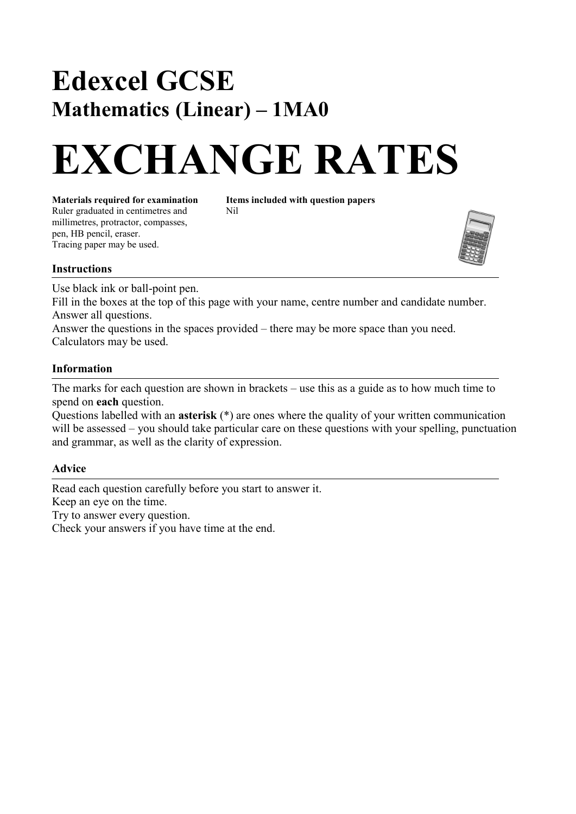## **Edexcel GCSE Mathematics (Linear)** – **1MA0**

# **EXCHANGE RATES**

Ruler graduated in centimetres and Nil millimetres, protractor, compasses, pen, HB pencil, eraser. Tracing paper may be used.

**Materials required for examination Items included with question papers**



#### **Instructions**

Use black ink or ball-point pen.

Fill in the boxes at the top of this page with your name, centre number and candidate number. Answer all questions.

Answer the questions in the spaces provided – there may be more space than you need. Calculators may be used.

#### **Information**

The marks for each question are shown in brackets  $-\text{ use this as a guide as to how much time to }$ spend on **each** question.

Questions labelled with an **asterisk** (\*) are ones where the quality of your written communication will be assessed – you should take particular care on these questions with your spelling, punctuation and grammar, as well as the clarity of expression.

### **Advice**

Read each question carefully before you start to answer it. Keep an eye on the time. Try to answer every question. Check your answers if you have time at the end.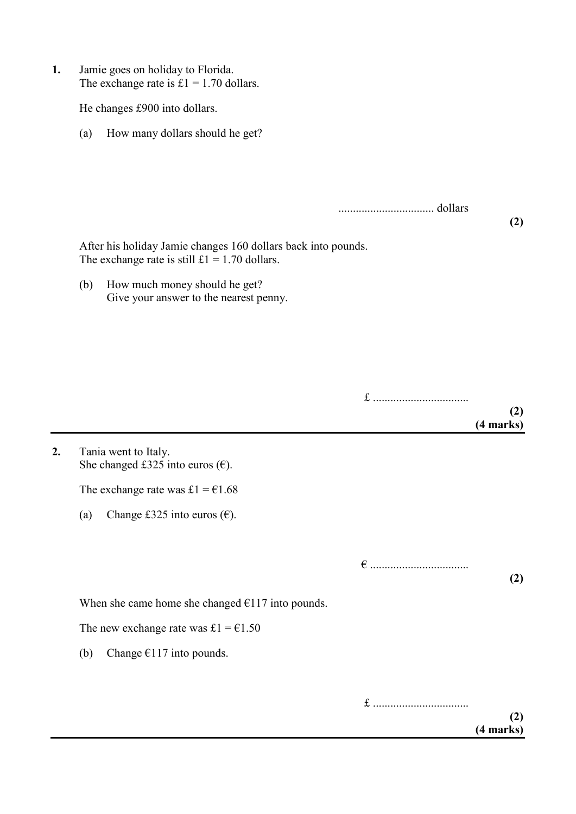| 1. | Jamie goes on holiday to Florida.<br>The exchange rate is $£1 = 1.70$ dollars. |                                                                                                                  |  |                  |  |  |
|----|--------------------------------------------------------------------------------|------------------------------------------------------------------------------------------------------------------|--|------------------|--|--|
|    | He changes £900 into dollars.                                                  |                                                                                                                  |  |                  |  |  |
|    | (a)                                                                            | How many dollars should he get?                                                                                  |  |                  |  |  |
|    |                                                                                |                                                                                                                  |  |                  |  |  |
|    |                                                                                |                                                                                                                  |  |                  |  |  |
|    |                                                                                |                                                                                                                  |  | (2)              |  |  |
|    |                                                                                | After his holiday Jamie changes 160 dollars back into pounds.<br>The exchange rate is still $£1 = 1.70$ dollars. |  |                  |  |  |
|    | (b)                                                                            | How much money should he get?<br>Give your answer to the nearest penny.                                          |  |                  |  |  |
|    |                                                                                |                                                                                                                  |  |                  |  |  |
|    |                                                                                |                                                                                                                  |  |                  |  |  |
|    |                                                                                |                                                                                                                  |  |                  |  |  |
|    |                                                                                |                                                                                                                  |  | (2)<br>(4 marks) |  |  |
| 2. |                                                                                | Tania went to Italy.<br>She changed £325 into euros $(\epsilon)$ .                                               |  |                  |  |  |
|    |                                                                                | The exchange rate was £1 = $€1.68$                                                                               |  |                  |  |  |
|    | (a)                                                                            | Change £325 into euros $(\epsilon)$ .                                                                            |  |                  |  |  |
|    |                                                                                |                                                                                                                  |  |                  |  |  |
|    |                                                                                |                                                                                                                  |  | (2)              |  |  |
|    | When she came home she changed $E117$ into pounds.                             |                                                                                                                  |  |                  |  |  |
|    |                                                                                | The new exchange rate was £1 = $€1.50$                                                                           |  |                  |  |  |
|    | (b)                                                                            | Change $€117$ into pounds.                                                                                       |  |                  |  |  |
|    |                                                                                |                                                                                                                  |  | (2)              |  |  |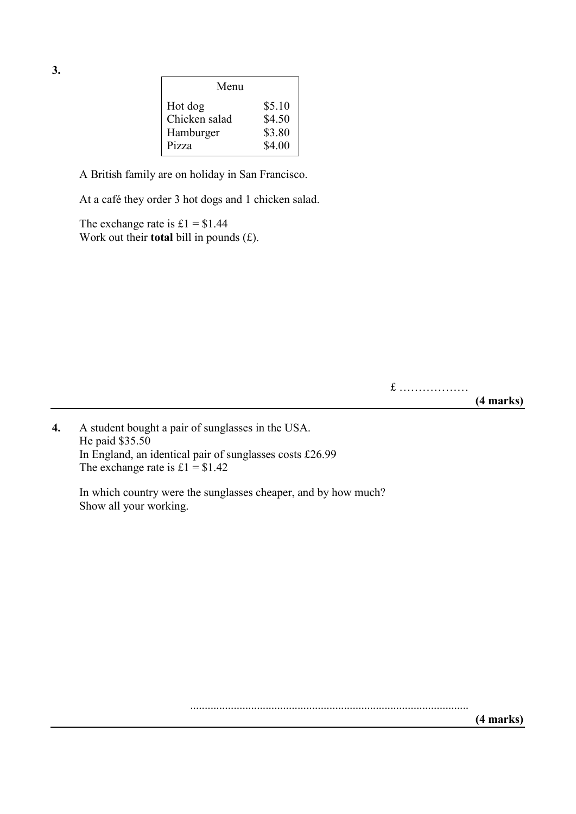| Menu          |        |
|---------------|--------|
| Hot dog       | \$5.10 |
| Chicken salad | \$4.50 |
| Hamburger     | \$3.80 |
| Pizza         | \$4.00 |

A British family are on holiday in San Francisco.

At a café they order 3 hot dogs and 1 chicken salad.

The exchange rate is  $£1 = $1.44$ Work out their **total** bill in pounds (£).

> $f$  ................... **(4 marks)**

**4.** A student bought a pair of sunglasses in the USA. He paid \$35.50 In England, an identical pair of sunglasses costs £26.99 The exchange rate is  $£1 = $1.42$ 

In which country were the sunglasses cheaper, and by how much? Show all your working.

**3.**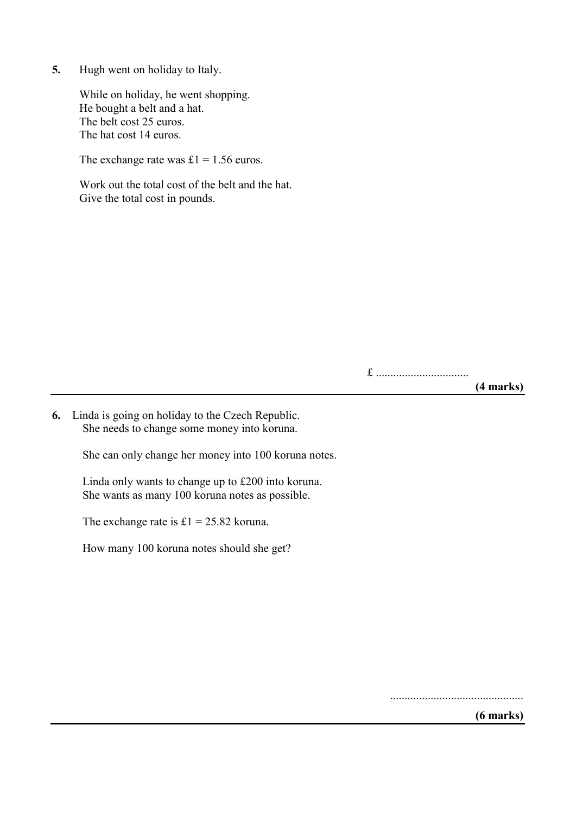**5.** Hugh went on holiday to Italy.

While on holiday, he went shopping. He bought a belt and a hat. The belt cost 25 euros. The hat cost 14 euros.

The exchange rate was  $£1 = 1.56$  euros.

Work out the total cost of the belt and the hat. Give the total cost in pounds.

£ ................................

**(4 marks)**

**6.** Linda is going on holiday to the Czech Republic. She needs to change some money into koruna.

She can only change her money into 100 koruna notes.

Linda only wants to change up to £200 into koruna. She wants as many 100 koruna notes as possible.

The exchange rate is  $£1 = 25.82$  koruna.

How many 100 koruna notes should she get?

..............................................

**(6 marks)**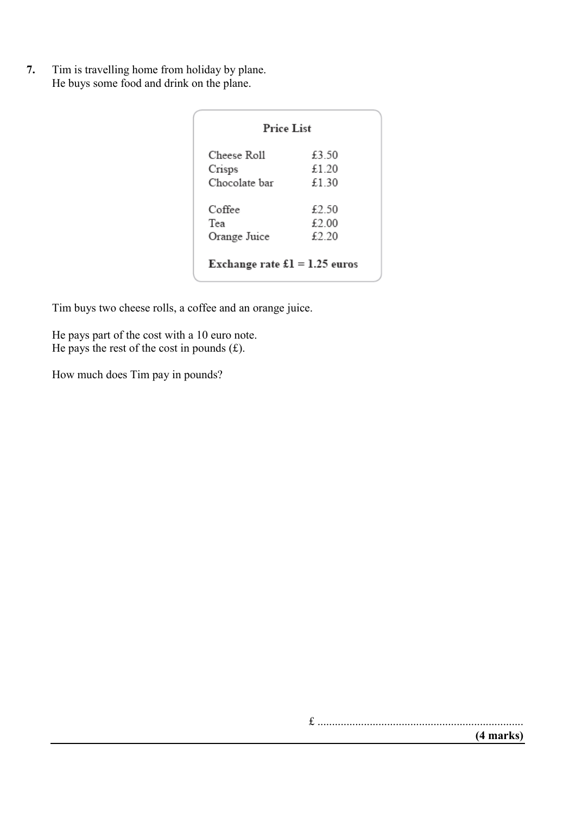**7.** Tim is travelling home from holiday by plane. He buys some food and drink on the plane.

| <b>Price List</b>                     |       |  |  |
|---------------------------------------|-------|--|--|
| Cheese Roll                           | £3.50 |  |  |
| Crisps                                | £1 20 |  |  |
| Chocolate bar                         | £1.30 |  |  |
| Coffee                                | £2.50 |  |  |
| Tea                                   | £2.00 |  |  |
| Orange Juice                          | £2.20 |  |  |
| Exchange rate $\pounds1 = 1.25$ euros |       |  |  |

Tim buys two cheese rolls, a coffee and an orange juice.

He pays part of the cost with a 10 euro note. He pays the rest of the cost in pounds  $(f)$ .

How much does Tim pay in pounds?

£ .......................................................................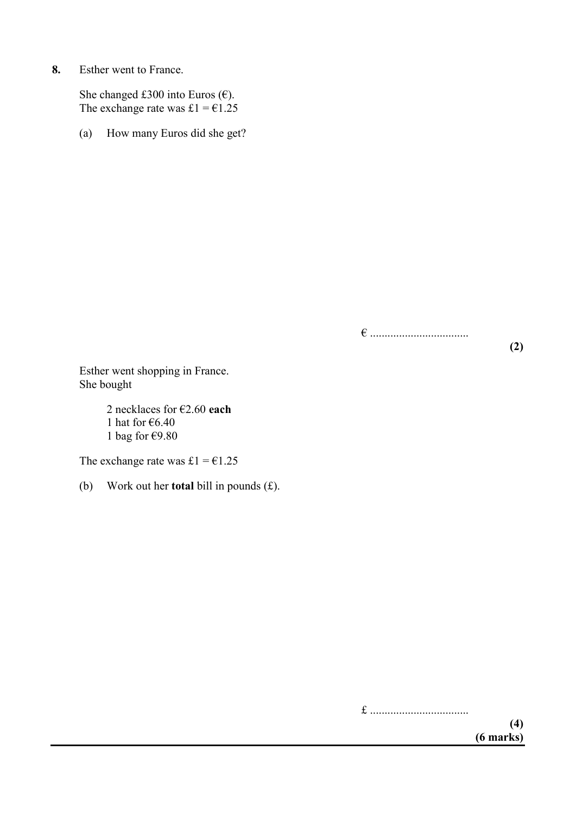**8.** Esther went to France.

She changed £300 into Euros ( $\epsilon$ ). The exchange rate was £1 =  $\epsilon$ 1.25

(a) How many Euros did she get?

¼

**(2)**

Esther went shopping in France. She bought

> 2 necklaces for €2.60 each 1 hat for  $6.40$ 1 bag for  $\epsilon$ 9.80

The exchange rate was £1 =  $€1.25$ 

(b) Work out her **total** bill in pounds (£).

£ .................................. **(4) (6 marks)**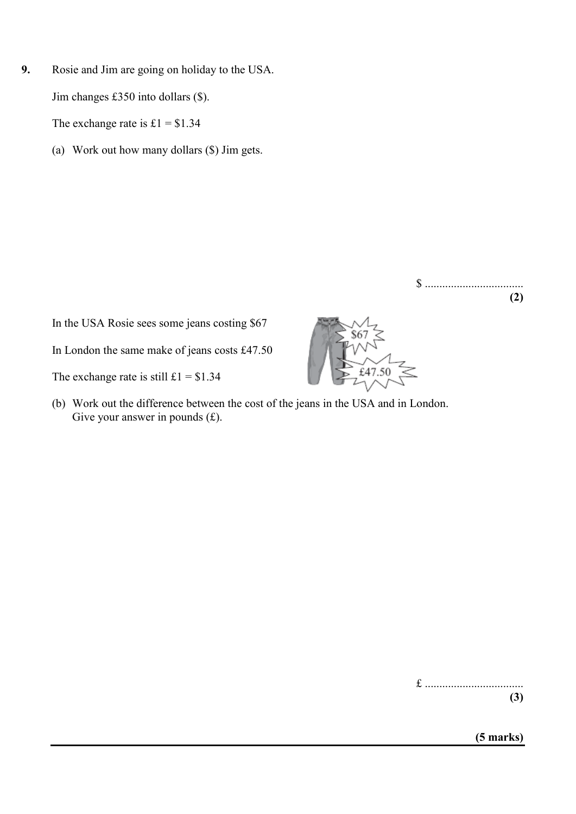**9.** Rosie and Jim are going on holiday to the USA. Jim changes £350 into dollars (\$).

The exchange rate is  $£1 = $1.34$ 

(a) Work out how many dollars (\$) Jim gets.

In the USA Rosie sees some jeans costing \$67

In London the same make of jeans costs £47.50

The exchange rate is still  $\text{\pounds}1 = \text{\pounds}1.34$ 

(b) Work out the difference between the cost of the jeans in the USA and in London. Give your answer in pounds  $(f)$ .



£ .................................. **(3)**

\$ ..................................

**(2)**

**(5 marks)**